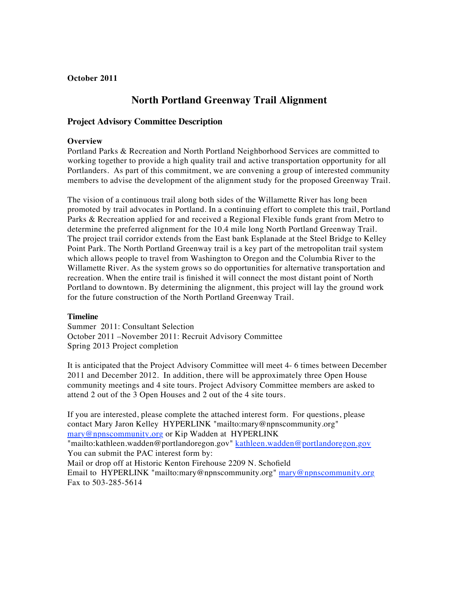## **October 2011**

# **North Portland Greenway Trail Alignment**

## **Project Advisory Committee Description**

#### **Overview**

Portland Parks & Recreation and North Portland Neighborhood Services are committed to working together to provide a high quality trail and active transportation opportunity for all Portlanders. As part of this commitment, we are convening a group of interested community members to advise the development of the alignment study for the proposed Greenway Trail.

The vision of a continuous trail along both sides of the Willamette River has long been promoted by trail advocates in Portland. In a continuing effort to complete this trail, Portland Parks & Recreation applied for and received a Regional Flexible funds grant from Metro to determine the preferred alignment for the 10.4 mile long North Portland Greenway Trail. The project trail corridor extends from the East bank Esplanade at the Steel Bridge to Kelley Point Park. The North Portland Greenway trail is a key part of the metropolitan trail system which allows people to travel from Washington to Oregon and the Columbia River to the Willamette River. As the system grows so do opportunities for alternative transportation and recreation. When the entire trail is finished it will connect the most distant point of North Portland to downtown. By determining the alignment, this project will lay the ground work for the future construction of the North Portland Greenway Trail.

#### **Timeline**

Summer 2011: Consultant Selection October 2011 –November 2011: Recruit Advisory Committee Spring 2013 Project completion

It is anticipated that the Project Advisory Committee will meet 4- 6 times between December 2011 and December 2012. In addition, there will be approximately three Open House community meetings and 4 site tours. Project Advisory Committee members are asked to attend 2 out of the 3 Open Houses and 2 out of the 4 site tours.

If you are interested, please complete the attached interest form. For questions, please contact Mary Jaron Kelley HYPERLINK "mailto:mary@npnscommunity.org" mary@npnscommunity.org or Kip Wadden at HYPERLINK "mailto:kathleen.wadden@portlandoregon.gov" kathleen.wadden@portlandoregon.gov You can submit the PAC interest form by: Mail or drop off at Historic Kenton Firehouse 2209 N. Schofield Email to HYPERLINK "mailto:mary@npnscommunity.org" mary@npnscommunity.org Fax to 503-285-5614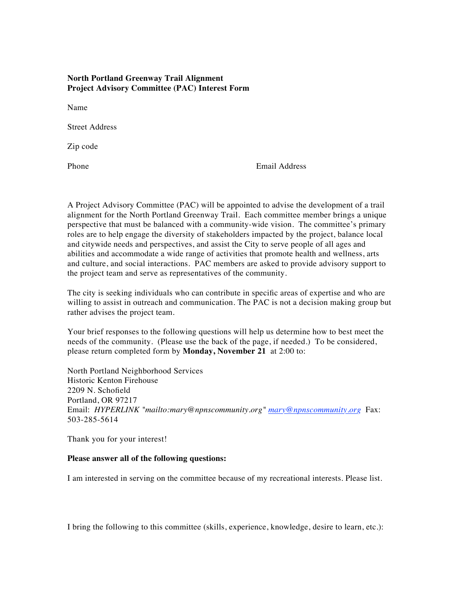## **North Portland Greenway Trail Alignment Project Advisory Committee (PAC) Interest Form**

Name

Street Address

Zip code

Phone Email Address

A Project Advisory Committee (PAC) will be appointed to advise the development of a trail alignment for the North Portland Greenway Trail. Each committee member brings a unique perspective that must be balanced with a community-wide vision. The committee's primary roles are to help engage the diversity of stakeholders impacted by the project, balance local and citywide needs and perspectives, and assist the City to serve people of all ages and abilities and accommodate a wide range of activities that promote health and wellness, arts and culture, and social interactions. PAC members are asked to provide advisory support to the project team and serve as representatives of the community.

The city is seeking individuals who can contribute in specific areas of expertise and who are willing to assist in outreach and communication. The PAC is not a decision making group but rather advises the project team.

Your brief responses to the following questions will help us determine how to best meet the needs of the community. (Please use the back of the page, if needed.) To be considered, please return completed form by **Monday, November 21** at 2:00 to:

North Portland Neighborhood Services Historic Kenton Firehouse 2209 N. Schofield Portland, OR 97217 Email: *HYPERLINK "mailto:mary@npnscommunity.org" mary@npnscommunity.org* Fax: 503-285-5614

Thank you for your interest!

#### **Please answer all of the following questions:**

I am interested in serving on the committee because of my recreational interests. Please list.

I bring the following to this committee (skills, experience, knowledge, desire to learn, etc.):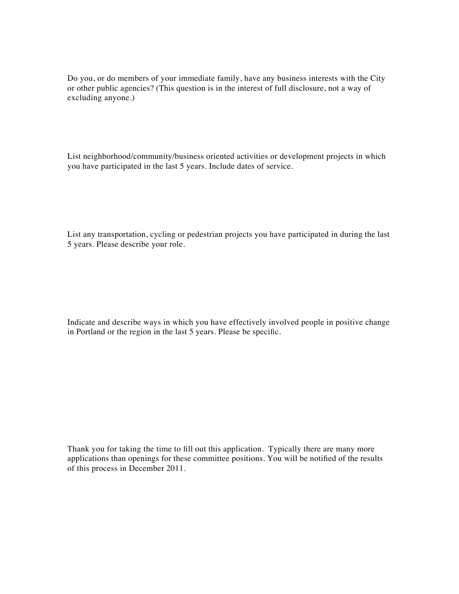Do you, or do members of your immediate family, have any business interests with the City or other public agencies? (This question is in the interest of full disclosure, not a way of excluding anyone.)

List neighborhood/community/business oriented activities or development projects in which you have participated in the last 5 years. Include dates of service.

List any transportation, cycling or pedestrian projects you have participated in during the last 5 years. Please describe your role.

Indicate and describe ways in which you have effectively involved people in positive change in Portland or the region in the last 5 years. Please be specific.

Thank you for taking the time to fill out this application. Typically there are many more applications than openings for these committee positions. You will be notified of the results of this process in December 2011.